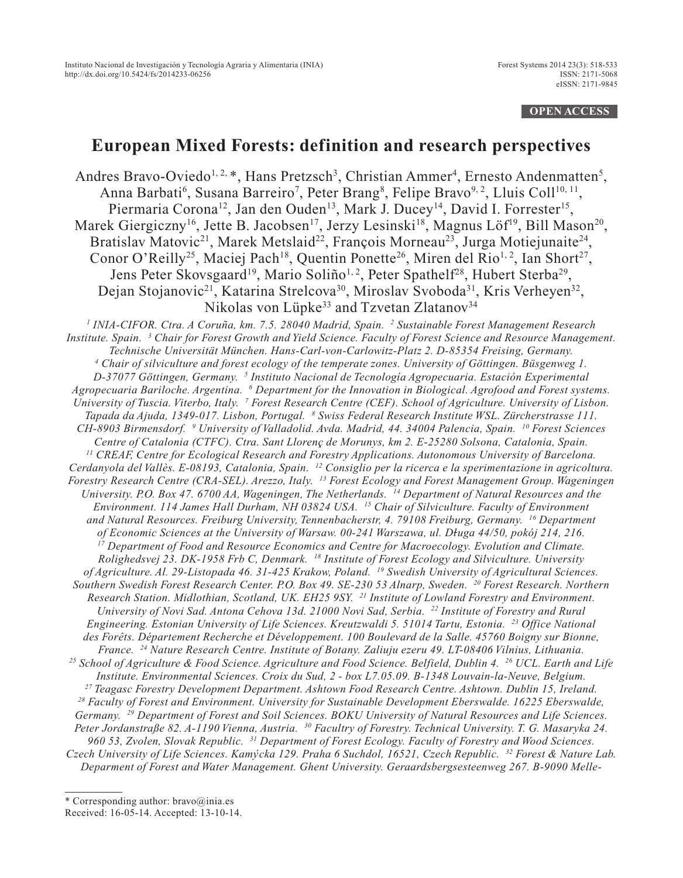### **OPEN ACCESS**

# **European Mixed Forests: definition and research perspectives**

Andres Bravo-Oviedo<sup>1, 2, \*</sup>, Hans Pretzsch<sup>3</sup>, Christian Ammer<sup>4</sup>, Ernesto Andenmatten<sup>5</sup>, Anna Barbati<sup>6</sup>, Susana Barreiro<sup>7</sup>, Peter Brang<sup>8</sup>, Felipe Bravo<sup>9, 2</sup>, Lluis Coll<sup>10, 11</sup>, Piermaria Corona<sup>12</sup>, Jan den Ouden<sup>13</sup>, Mark J. Ducey<sup>14</sup>, David I. Forrester<sup>15</sup>, Marek Giergiczny<sup>16</sup>, Jette B. Jacobsen<sup>17</sup>, Jerzy Lesinski<sup>18</sup>, Magnus Löf<sup>19</sup>, Bill Mason<sup>20</sup>, Bratislav Matovic<sup>21</sup>, Marek Metslaid<sup>22</sup>, François Morneau<sup>23</sup>, Jurga Motiejunaite<sup>24</sup>, Conor O'Reilly<sup>25</sup>, Maciej Pach<sup>18</sup>, Quentin Ponette<sup>26</sup>, Miren del Rio<sup>1, 2</sup>, Ian Short<sup>27</sup>, Jens Peter Skovsgaard<sup>19</sup>, Mario Soliño<sup>1, 2</sup>, Peter Spathelf<sup>28</sup>, Hubert Sterba<sup>29</sup>, Dejan Stojanovic<sup>21</sup>, Katarina Strelcova<sup>30</sup>, Miroslav Svoboda<sup>31</sup>, Kris Verheyen<sup>32</sup>, Nikolas von Lüpke<sup>33</sup> and Tzvetan Zlatanov<sup>34</sup>

*<sup>1</sup> INIA-CIFOR. Ctra. A Coruña, km. 7.5. 28040 Madrid, Spain. <sup>2</sup> Sustainable Forest Management Research Institute. Spain. <sup>3</sup> Chair for Forest Growth and Yield Science. Faculty of Forest Science and Resource Management. Technische Universität München. Hans-Carl-von-Carlowitz-Platz 2. D-85354 Freising, Germany. <sup>4</sup> Chair of silviculture and forest ecology of the temperate zones. University of Göttingen. Büsgenweg 1. D-37077 Göttingen, Germany. <sup>5</sup> Instituto Nacional de Tecnología Agropecuaria. Estación Experimental Agropecuaria Bariloche. Argentina. <sup>6</sup> Department for the Innovation in Biological. Agrofood and Forest systems. University of Tuscia. Viterbo, Italy. <sup>7</sup> Forest Research Centre (CEF). School of Agriculture. University of Lisbon. Tapada da Ajuda, 1349-017. Lisbon, Portugal. <sup>8</sup> Swiss Federal Research Institute WSL. Zürcherstrasse 111. CH-8903 Birmensdorf. <sup>9</sup> University of Valladolid. Avda. Madrid, 44. 34004 Palencia, Spain. <sup>10</sup> Forest Sciences Centre of Catalonia (CTFC). Ctra. Sant Llorenç de Morunys, km 2. E-25280 Solsona, Catalonia, Spain. <sup>11</sup> CREAF, Centre for Ecological Research and Forestry Applications. Autonomous University of Barcelona. Cerdanyola del Vallès. E-08193, Catalonia, Spain. <sup>12</sup> Consiglio per la ricerca e la sperimentazione in agricoltura. Forestry Research Centre (CRA-SEL). Arezzo, Italy. <sup>13</sup> Forest Ecology and Forest Management Group. Wageningen University. P.O. Box 47. 6700 AA, Wageningen, The Netherlands. <sup>14</sup> Department of Natural Resources and the Environment. 114 James Hall Durham, NH 03824 USA. <sup>15</sup> Chair of Silviculture. Faculty of Environment and Natural Resources. Freiburg University, Tennenbacherstr, 4. 79108 Freiburg, Germany. <sup>16</sup> Department of Economic Sciences at the University of Warsaw. 00-241 Warszawa, ul. Długa 44/50, pokój 214, 216. <sup>17</sup> Department of Food and Resource Economics and Centre for Macroecology. Evolution and Climate. Rolighedsvej 23. DK-1958 Frb C, Denmark. <sup>18</sup> Institute of Forest Ecology and Silviculture. University of Agriculture. Al. 29-Listopada 46. 31-425 Krakow, Poland. <sup>19</sup> Swedish University of Agricultural Sciences. Southern Swedish Forest Research Center. P.O. Box 49. SE-230 53 Alnarp, Sweden. <sup>20</sup> Forest Research. Northern Research Station. Midlothian, Scotland, UK. EH25 9SY. <sup>21</sup> Institute of Lowland Forestry and Environment. University of Novi Sad. Antona Cehova 13d. 21000 Novi Sad, Serbia. <sup>22</sup> Institute of Forestry and Rural Engineering. Estonian University of Life Sciences. Kreutzwaldi 5. 51014 Tartu, Estonia. <sup>23</sup> Office National des Forêts. Département Recherche et Développement. 100 Boulevard de la Salle. 45760 Boigny sur Bionne, France. <sup>24</sup> Nature Research Centre. Institute of Botany. Zaliuju ezeru 49. LT-08406 Vilnius, Lithuania. <sup>25</sup> School of Agriculture & Food Science. Agriculture and Food Science. Belfield, Dublin 4. <sup>26</sup> UCL. Earth and Life Institute. Environmental Sciences. Croix du Sud, 2 - box L7.05.09. B-1348 Louvain-la-Neuve, Belgium. <sup>27</sup> Teagasc Forestry Development Department. Ashtown Food Research Centre. Ashtown. Dublin 15, Ireland. <sup>28</sup> Faculty of Forest and Environment. University for Sustainable Development Eberswalde. 16225 Eberswalde, Germany. <sup>29</sup> Department of Forest and Soil Sciences. BOKU University of Natural Resources and Life Sciences. Peter Jordanstraße 82. A-1190 Vienna, Austria. <sup>30</sup> Facultry of Forestry. Technical University. T. G. Masaryka 24. 960 53, Zvolen, Slovak Republic. <sup>31</sup> Department of Forest Ecology. Faculty of Forestry and Wood Sciences. Czech University of Life Sciences. Kamy´cka 129. Praha 6 Suchdol, 16521, Czech Republic. <sup>32</sup> Forest & Nature Lab. Deparment of Forest and Water Management. Ghent University. Geraardsbergsesteenweg 267. B-9090 Melle-*

<sup>\*</sup> Corresponding author: bravo@inia.es Received: 16-05-14. Accepted: 13-10-14.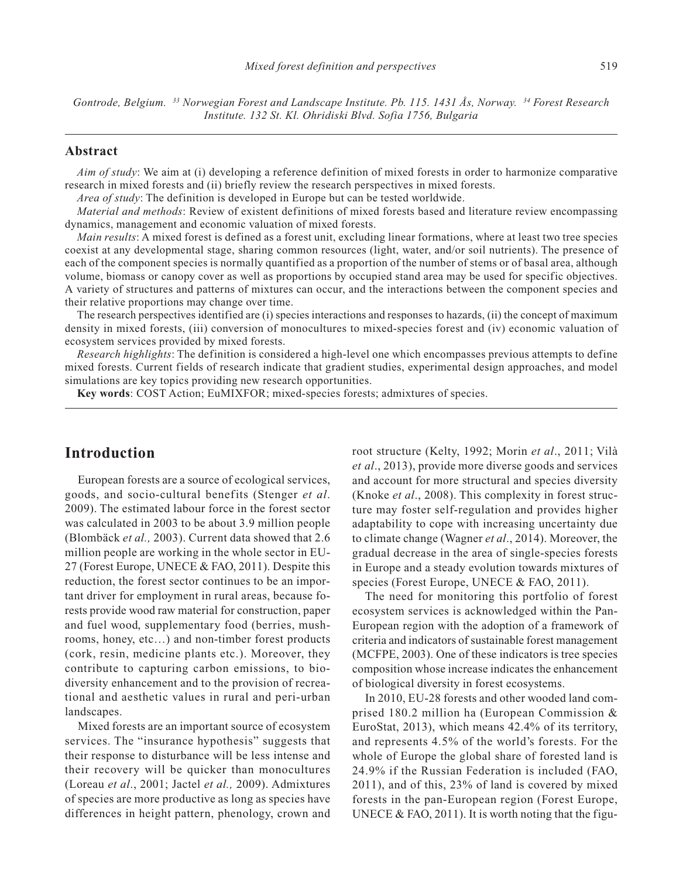*Gontrode, Belgium. <sup>33</sup> Norwegian Forest and Landscape Institute. Pb. 115. 1431 Ås, Norway. <sup>34</sup> Forest Research Institute. 132 St. Kl. Ohridiski Blvd. Sofia 1756, Bulgaria*

#### **Abstract**

*Aim of study*: We aim at (i) developing a reference definition of mixed forests in order to harmonize comparative research in mixed forests and (ii) briefly review the research perspectives in mixed forests.

*Area of study*: The definition is developed in Europe but can be tested worldwide.

*Material and methods*: Review of existent definitions of mixed forests based and literature review encompassing dynamics, management and economic valuation of mixed forests.

*Main results*: A mixed forest is defined as a forest unit, excluding linear formations, where at least two tree species coexist at any developmental stage, sharing common resources (light, water, and/or soil nutrients). The presence of each of the component species is normally quantified as a proportion of the number of stems or of basal area, although volume, biomass or canopy cover as well as proportions by occupied stand area may be used for specific objectives. A variety of structures and patterns of mixtures can occur, and the interactions between the component species and their relative proportions may change over time.

The research perspectives identified are (i) species interactions and responses to hazards, (ii) the concept of maximum density in mixed forests, (iii) conversion of monocultures to mixed-species forest and (iv) economic valuation of ecosystem services provided by mixed forests.

*Research highlights*: The definition is considered a high-level one which encompasses previous attempts to define mixed forests. Current fields of research indicate that gradient studies, experimental design approaches, and model simulations are key topics providing new research opportunities.

**Key words**: COST Action; EuMIXFOR; mixed-species forests; admixtures of species.

## **Introduction**

European forests are a source of ecological services, goods, and socio-cultural benefits (Stenger *et al*. 2009). The estimated labour force in the forest sector was calculated in 2003 to be about 3.9 million people (Blombäck *et al.,* 2003). Current data showed that 2.6 million people are working in the whole sector in EU-27 (Forest Europe, UNECE & FAO, 2011). Despite this reduction, the forest sector continues to be an important driver for employment in rural areas, because forests provide wood raw material for construction, paper and fuel wood, supplementary food (berries, mushrooms, honey, etc…) and non-timber forest products (cork, resin, medicine plants etc.). Moreover, they contribute to capturing carbon emissions, to biodiversity enhancement and to the provision of recreational and aesthetic values in rural and peri-urban landscapes.

Mixed forests are an important source of ecosystem services. The "insurance hypothesis" suggests that their response to disturbance will be less intense and their recovery will be quicker than monocultures (Loreau *et al*., 2001; Jactel *et al.,* 2009). Admixtures of species are more productive as long as species have differences in height pattern, phenology, crown and

root structure (Kelty, 1992; Morin *et al*., 2011; Vilà *et al*., 2013), provide more diverse goods and services and account for more structural and species diversity (Knoke *et al*., 2008). This complexity in forest structure may foster self-regulation and provides higher adaptability to cope with increasing uncertainty due to climate change (Wagner *et al*., 2014). Moreover, the gradual decrease in the area of single-species forests in Europe and a steady evolution towards mixtures of species (Forest Europe, UNECE & FAO, 2011).

The need for monitoring this portfolio of forest ecosystem services is acknowledged within the Pan-European region with the adoption of a framework of criteria and indicators of sustainable forest management (MCFPE, 2003). One of these indicators is tree species composition whose increase indicates the enhancement of biological diversity in forest ecosystems.

In 2010, EU-28 forests and other wooded land comprised 180.2 million ha (European Commission & EuroStat, 2013), which means 42.4% of its territory, and represents 4.5% of the world's forests. For the whole of Europe the global share of forested land is 24.9% if the Russian Federation is included (FAO, 2011), and of this, 23% of land is covered by mixed forests in the pan-European region (Forest Europe, UNECE  $&$  FAO, 2011). It is worth noting that the figu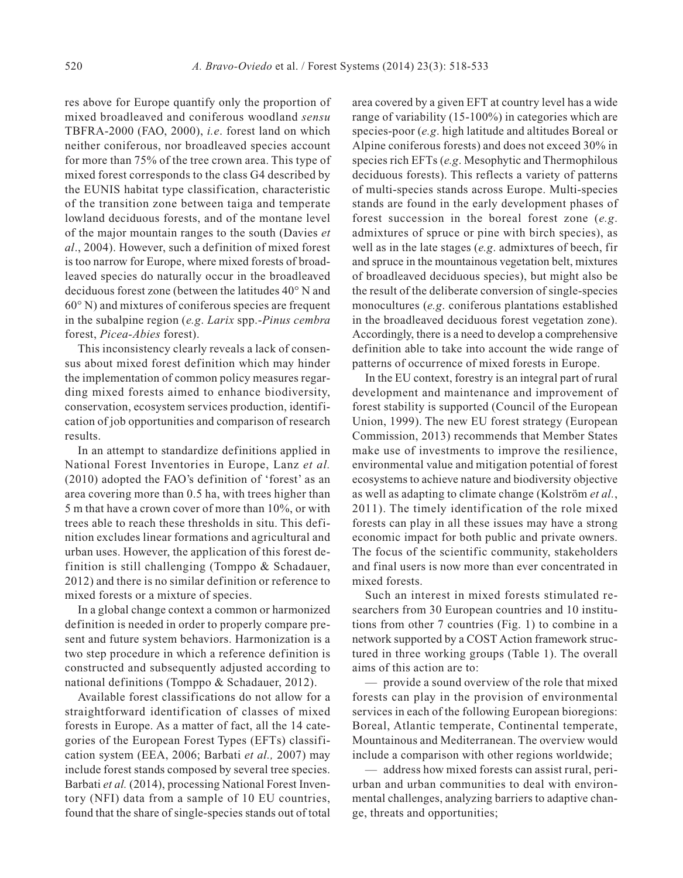res above for Europe quantify only the proportion of mixed broadleaved and coniferous woodland *sensu* TBFRA-2000 (FAO, 2000), *i.e*. forest land on which neither coniferous, nor broadleaved species account for more than 75% of the tree crown area. This type of mixed forest corresponds to the class G4 described by the EUNIS habitat type classification, characteristic of the transition zone between taiga and temperate lowland deciduous forests, and of the montane level of the major mountain ranges to the south (Davies *et al*., 2004). However, such a definition of mixed forest is too narrow for Europe, where mixed forests of broadleaved species do naturally occur in the broadleaved deciduous forest zone (between the latitudes 40° N and 60° N) and mixtures of coniferous species are frequent in the subalpine region (*e.g*. *Larix* spp.-*Pinus cembra* forest, *Picea-Abies* forest).

This inconsistency clearly reveals a lack of consensus about mixed forest definition which may hinder the implementation of common policy measures regarding mixed forests aimed to enhance biodiversity, conservation, ecosystem services production, identification of job opportunities and comparison of research results.

In an attempt to standardize definitions applied in National Forest Inventories in Europe, Lanz *et al.* (2010) adopted the FAO's definition of 'forest' as an area covering more than 0.5 ha, with trees higher than 5 m that have a crown cover of more than 10%, or with trees able to reach these thresholds in situ. This definition excludes linear formations and agricultural and urban uses. However, the application of this forest definition is still challenging (Tomppo & Schadauer, 2012) and there is no similar definition or reference to mixed forests or a mixture of species.

In a global change context a common or harmonized definition is needed in order to properly compare present and future system behaviors. Harmonization is a two step procedure in which a reference definition is constructed and subsequently adjusted according to national definitions (Tomppo & Schadauer, 2012).

Available forest classifications do not allow for a straightforward identification of classes of mixed forests in Europe. As a matter of fact, all the 14 categories of the European Forest Types (EFTs) classification system (EEA, 2006; Barbati *et al.,* 2007) may include forest stands composed by several tree species. Barbati *et al.* (2014), processing National Forest Inventory (NFI) data from a sample of 10 EU countries, found that the share of single-species stands out of total

area covered by a given EFT at country level has a wide range of variability (15-100%) in categories which are species-poor (*e.g*. high latitude and altitudes Boreal or Alpine coniferous forests) and does not exceed 30% in species rich EFTs (*e.g*. Mesophytic and Thermophilous deciduous forests). This reflects a variety of patterns of multi-species stands across Europe. Multi-species stands are found in the early development phases of forest succession in the boreal forest zone (*e.g*. admixtures of spruce or pine with birch species), as well as in the late stages (*e.g*. admixtures of beech, fir and spruce in the mountainous vegetation belt, mixtures of broadleaved deciduous species), but might also be the result of the deliberate conversion of single-species monocultures (*e.g*. coniferous plantations established in the broadleaved deciduous forest vegetation zone). Accordingly, there is a need to develop a comprehensive definition able to take into account the wide range of patterns of occurrence of mixed forests in Europe.

In the EU context, forestry is an integral part of rural development and maintenance and improvement of forest stability is supported (Council of the European Union, 1999). The new EU forest strategy (European Commission, 2013) recommends that Member States make use of investments to improve the resilience, environmental value and mitigation potential of forest ecosystems to achieve nature and biodiversity objective as well as adapting to climate change (Kolström *et al.*, 2011). The timely identification of the role mixed forests can play in all these issues may have a strong economic impact for both public and private owners. The focus of the scientific community, stakeholders and final users is now more than ever concentrated in mixed forests.

Such an interest in mixed forests stimulated researchers from 30 European countries and 10 institutions from other 7 countries (Fig. 1) to combine in a network supported by a COST Action framework structured in three working groups (Table 1). The overall aims of this action are to:

— provide a sound overview of the role that mixed forests can play in the provision of environmental services in each of the following European bioregions: Boreal, Atlantic temperate, Continental temperate, Mountainous and Mediterranean. The overview would include a comparison with other regions worldwide;

— address how mixed forests can assist rural, periurban and urban communities to deal with environmental challenges, analyzing barriers to adaptive change, threats and opportunities;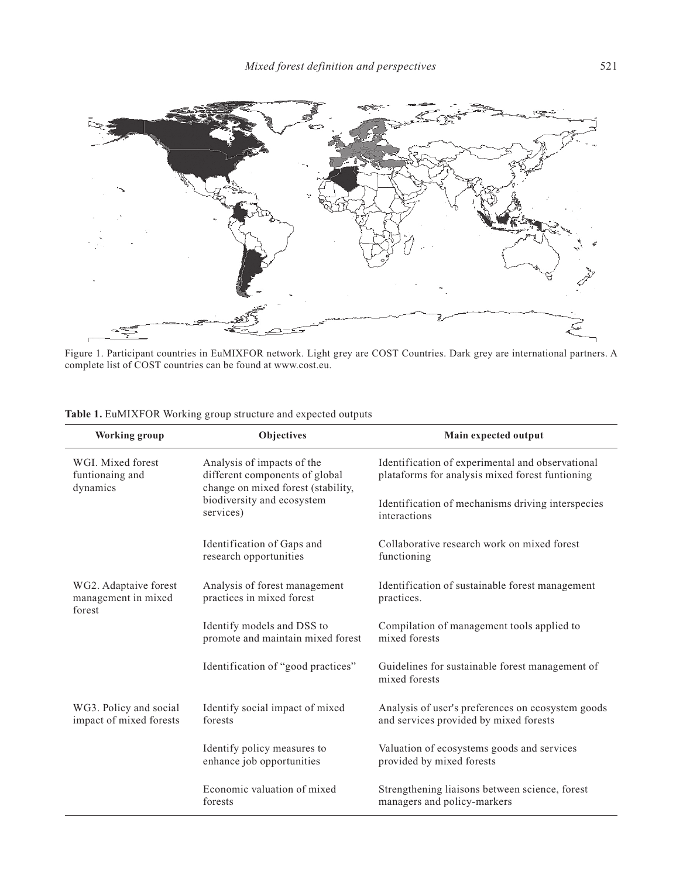

Figure 1. Participant countries in EuMIXFOR network. Light grey are COST Countries. Dark grey are international partners. A complete list of COST countries can be found at www.cost.eu.

| <b>Working group</b>                                   | Objectives                                                                                         | Main expected output                                                                                |
|--------------------------------------------------------|----------------------------------------------------------------------------------------------------|-----------------------------------------------------------------------------------------------------|
| WGL Mixed forest<br>funtionaing and<br>dynamics        | Analysis of impacts of the<br>different components of global<br>change on mixed forest (stability, | Identification of experimental and observational<br>plataforms for analysis mixed forest funtioning |
|                                                        | biodiversity and ecosystem<br>services)                                                            | Identification of mechanisms driving interspecies<br>interactions                                   |
|                                                        | Identification of Gaps and<br>research opportunities                                               | Collaborative research work on mixed forest<br>functioning                                          |
| WG2. Adaptaive forest<br>management in mixed<br>forest | Analysis of forest management<br>practices in mixed forest                                         | Identification of sustainable forest management<br>practices.                                       |
|                                                        | Identify models and DSS to<br>promote and maintain mixed forest                                    | Compilation of management tools applied to<br>mixed forests                                         |
|                                                        | Identification of "good practices"                                                                 | Guidelines for sustainable forest management of<br>mixed forests                                    |
| WG3. Policy and social<br>impact of mixed forests      | Identify social impact of mixed<br>forests                                                         | Analysis of user's preferences on ecosystem goods<br>and services provided by mixed forests         |
|                                                        | Identify policy measures to<br>enhance job opportunities                                           | Valuation of ecosystems goods and services<br>provided by mixed forests                             |
|                                                        | Economic valuation of mixed<br>forests                                                             | Strengthening liaisons between science, forest<br>managers and policy-markers                       |

### **Table 1.** EuMIXFOR Working group structure and expected outputs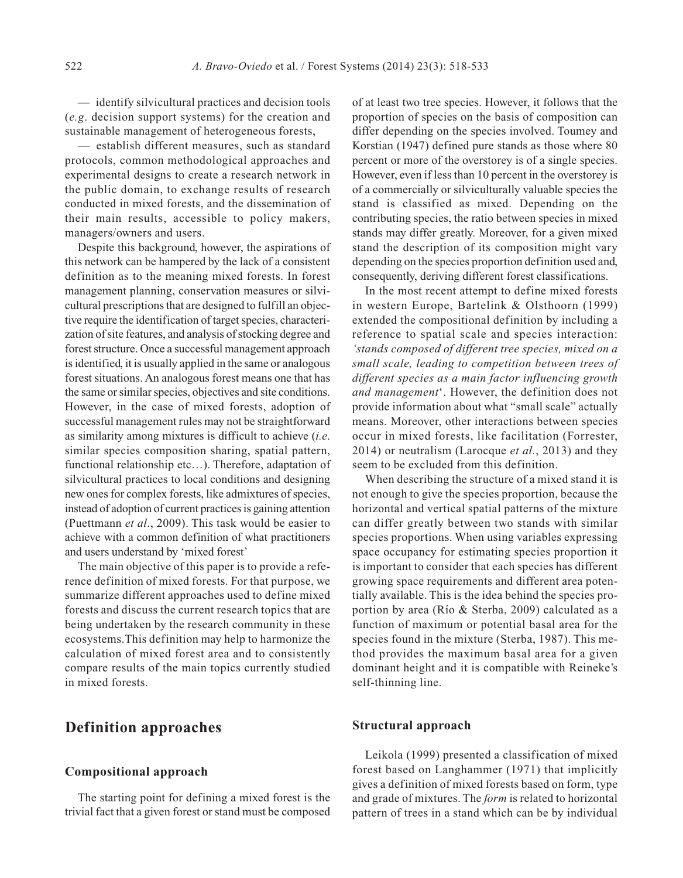— identify silvicultural practices and decision tools (*e.g*. decision support systems) for the creation and sustainable management of heterogeneous forests,

— establish different measures, such as standard protocols, common methodological approaches and experimental designs to create a research network in the public domain, to exchange results of research conducted in mixed forests, and the dissemination of their main results, accessible to policy makers, managers/owners and users.

Despite this background, however, the aspirations of this network can be hampered by the lack of a consistent definition as to the meaning mixed forests. In forest management planning, conservation measures or silvicultural prescriptions that are designed to fulfill an objective require the identification of target species, characterization of site features, and analysis of stocking degree and forest structure. Once a successful management approach is identified, it is usually applied in the same or analogous forest situations. An analogous forest means one that has the same or similar species, objectives and site conditions. However, in the case of mixed forests, adoption of successful management rules may not be straightforward as similarity among mixtures is difficult to achieve (*i.e*. similar species composition sharing, spatial pattern, functional relationship etc...). Therefore, adaptation of silvicultural practices to local conditions and designing new ones for complex forests, like admixtures of species, instead of adoption of current practices is gaining attention (Puettmann *et al*., 2009). This task would be easier to achieve with a common definition of what practitioners and users understand by 'mixed forest'

The main objective of this paper is to provide a reference definition of mixed forests. For that purpose, we summarize different approaches used to define mixed forests and discuss the current research topics that are being undertaken by the research community in these ecosystems.This definition may help to harmonize the calculation of mixed forest area and to consistently compare results of the main topics currently studied in mixed forests.

## **Definition approaches**

#### **Compositional approach**

The starting point for defining a mixed forest is the trivial fact that a given forest or stand must be composed of at least two tree species. However, it follows that the proportion of species on the basis of composition can differ depending on the species involved. Toumey and Korstian (1947) defined pure stands as those where 80 percent or more of the overstorey is of a single species. However, even if less than 10 percent in the overstorey is of a commercially or silviculturally valuable species the stand is classified as mixed. Depending on the contributing species, the ratio between species in mixed stands may differ greatly. Moreover, for a given mixed stand the description of its composition might vary depending on the species proportion definition used and, consequently, deriving different forest classifications.

In the most recent attempt to define mixed forests in western Europe, Bartelink & Olsthoorn (1999) extended the compositional definition by including a reference to spatial scale and species interaction: *'stands composed of different tree species, mixed on a small scale, leading to competition between trees of different species as a main factor influencing growth and management*'. However, the definition does not provide information about what "small scale" actually means. Moreover, other interactions between species occur in mixed forests, like facilitation (Forrester, 2014) or neutralism (Larocque *et al.*, 2013) and they seem to be excluded from this definition.

When describing the structure of a mixed stand it is not enough to give the species proportion, because the horizontal and vertical spatial patterns of the mixture can differ greatly between two stands with similar species proportions. When using variables expressing space occupancy for estimating species proportion it is important to consider that each species has different growing space requirements and different area potentially available. This is the idea behind the species proportion by area (Río & Sterba, 2009) calculated as a function of maximum or potential basal area for the species found in the mixture (Sterba, 1987). This method provides the maximum basal area for a given dominant height and it is compatible with Reineke's self-thinning line.

### **Structural approach**

Leikola (1999) presented a classification of mixed forest based on Langhammer (1971) that implicitly gives a definition of mixed forests based on form, type and grade of mixtures. The *form* is related to horizontal pattern of trees in a stand which can be by individual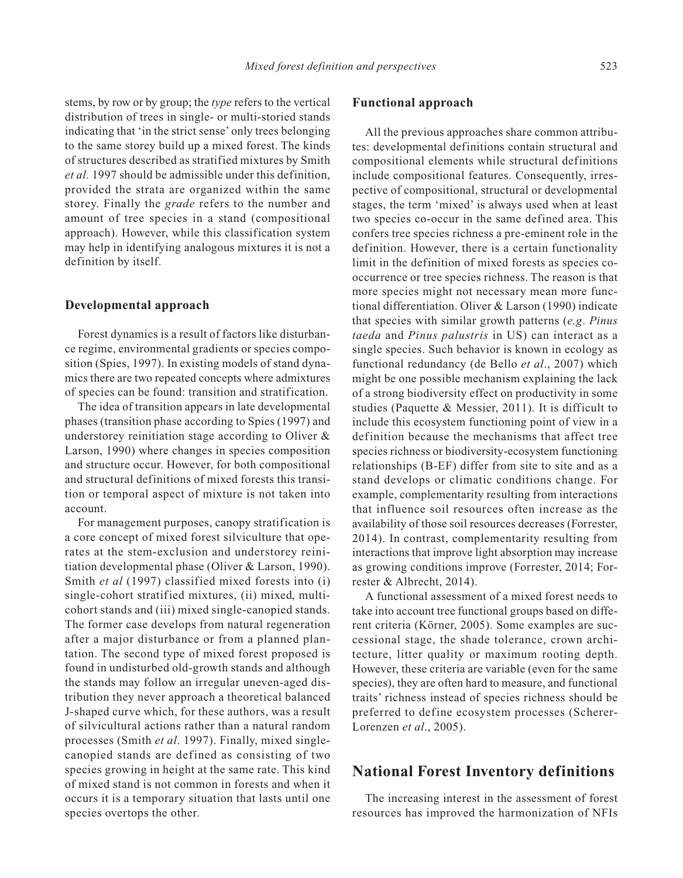stems, by row or by group; the *type* refers to the vertical distribution of trees in single- or multi-storied stands indicating that 'in the strict sense' only trees belonging to the same storey build up a mixed forest. The kinds of structures described as stratified mixtures by Smith *et al.* 1997 should be admissible under this definition, provided the strata are organized within the same storey. Finally the *grade* refers to the number and amount of tree species in a stand (compositional approach). However, while this classification system may help in identifying analogous mixtures it is not a definition by itself.

### **Developmental approach**

Forest dynamics is a result of factors like disturbance regime, environmental gradients or species composition (Spies, 1997). In existing models of stand dynamics there are two repeated concepts where admixtures of species can be found: transition and stratification.

The idea of transition appears in late developmental phases (transition phase according to Spies (1997) and understorey reinitiation stage according to Oliver & Larson, 1990) where changes in species composition and structure occur. However, for both compositional and structural definitions of mixed forests this transition or temporal aspect of mixture is not taken into account.

For management purposes, canopy stratification is a core concept of mixed forest silviculture that operates at the stem-exclusion and understorey reinitiation developmental phase (Oliver & Larson, 1990). Smith *et al* (1997) classified mixed forests into (i) single-cohort stratified mixtures, (ii) mixed, multicohort stands and (iii) mixed single-canopied stands. The former case develops from natural regeneration after a major disturbance or from a planned plantation. The second type of mixed forest proposed is found in undisturbed old-growth stands and although the stands may follow an irregular uneven-aged distribution they never approach a theoretical balanced J-shaped curve which, for these authors, was a result of silvicultural actions rather than a natural random processes (Smith *et al*. 1997). Finally, mixed singlecanopied stands are defined as consisting of two species growing in height at the same rate. This kind of mixed stand is not common in forests and when it occurs it is a temporary situation that lasts until one species overtops the other.

#### **Functional approach**

All the previous approaches share common attributes: developmental definitions contain structural and compositional elements while structural definitions include compositional features. Consequently, irrespective of compositional, structural or developmental stages, the term 'mixed' is always used when at least two species co-occur in the same defined area. This confers tree species richness a pre-eminent role in the definition. However, there is a certain functionality limit in the definition of mixed forests as species cooccurrence or tree species richness. The reason is that more species might not necessary mean more functional differentiation. Oliver & Larson (1990) indicate that species with similar growth patterns (*e.g*. *Pinus taeda* and *Pinus palustris* in US) can interact as a single species. Such behavior is known in ecology as functional redundancy (de Bello *et al*., 2007) which might be one possible mechanism explaining the lack of a strong biodiversity effect on productivity in some studies (Paquette & Messier, 2011). It is difficult to include this ecosystem functioning point of view in a definition because the mechanisms that affect tree species richness or biodiversity-ecosystem functioning relationships (B-EF) differ from site to site and as a stand develops or climatic conditions change. For example, complementarity resulting from interactions that influence soil resources often increase as the availability of those soil resources decreases (Forrester, 2014). In contrast, complementarity resulting from interactions that improve light absorption may increase as growing conditions improve (Forrester, 2014; Forrester & Albrecht, 2014).

A functional assessment of a mixed forest needs to take into account tree functional groups based on different criteria (Körner, 2005). Some examples are successional stage, the shade tolerance, crown architecture, litter quality or maximum rooting depth. However, these criteria are variable (even for the same species), they are often hard to measure, and functional traits' richness instead of species richness should be preferred to define ecosystem processes (Scherer-Lorenzen *et al*., 2005).

### **National Forest Inventory definitions**

The increasing interest in the assessment of forest resources has improved the harmonization of NFIs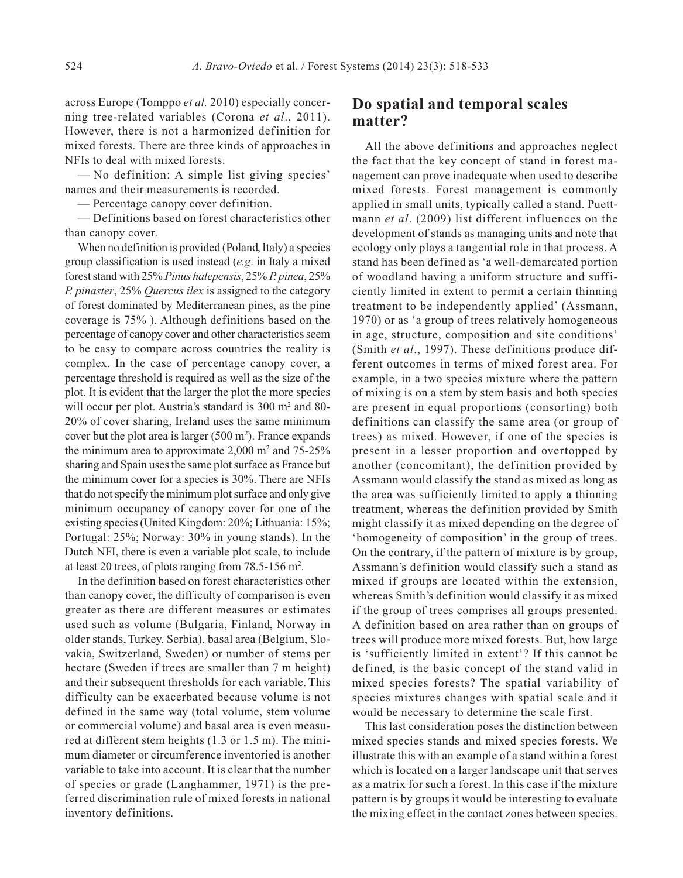across Europe (Tomppo *et al.* 2010) especially concerning tree-related variables (Corona *et al*., 2011). However, there is not a harmonized definition for mixed forests. There are three kinds of approaches in NFIs to deal with mixed forests.

— No definition: A simple list giving species' names and their measurements is recorded.

— Percentage canopy cover definition.

— Definitions based on forest characteristics other than canopy cover.

When no definition is provided (Poland, Italy) a species group classification is used instead (*e.g*. in Italy a mixed forest stand with 25% *Pinus halepensis*, 25% *P. pinea*, 25% *P. pinaster*, 25% *Quercus ilex* is assigned to the category of forest dominated by Mediterranean pines, as the pine coverage is 75% ). Although definitions based on the percentage of canopy cover and other characteristics seem to be easy to compare across countries the reality is complex. In the case of percentage canopy cover, a percentage threshold is required as well as the size of the plot. It is evident that the larger the plot the more species will occur per plot. Austria's standard is 300 m<sup>2</sup> and 80-20% of cover sharing, Ireland uses the same minimum cover but the plot area is larger  $(500 \text{ m}^2)$ . France expands the minimum area to approximate  $2,000$  m<sup>2</sup> and  $75-25\%$ sharing and Spain uses the same plot surface as France but the minimum cover for a species is 30%. There are NFIs that do not specify the minimum plot surface and only give minimum occupancy of canopy cover for one of the existing species (United Kingdom: 20%; Lithuania: 15%; Portugal: 25%; Norway: 30% in young stands). In the Dutch NFI, there is even a variable plot scale, to include at least 20 trees, of plots ranging from  $78.5$ -156 m<sup>2</sup>.

In the definition based on forest characteristics other than canopy cover, the difficulty of comparison is even greater as there are different measures or estimates used such as volume (Bulgaria, Finland, Norway in older stands, Turkey, Serbia), basal area (Belgium, Slovakia, Switzerland, Sweden) or number of stems per hectare (Sweden if trees are smaller than 7 m height) and their subsequent thresholds for each variable. This difficulty can be exacerbated because volume is not defined in the same way (total volume, stem volume or commercial volume) and basal area is even measured at different stem heights (1.3 or 1.5 m). The minimum diameter or circumference inventoried is another variable to take into account. It is clear that the number of species or grade (Langhammer, 1971) is the preferred discrimination rule of mixed forests in national inventory definitions.

## **Do spatial and temporal scales matter?**

All the above definitions and approaches neglect the fact that the key concept of stand in forest management can prove inadequate when used to describe mixed forests. Forest management is commonly applied in small units, typically called a stand. Puettmann *et al*. (2009) list different influences on the development of stands as managing units and note that ecology only plays a tangential role in that process. A stand has been defined as 'a well-demarcated portion of woodland having a uniform structure and sufficiently limited in extent to permit a certain thinning treatment to be independently applied' (Assmann, 1970) or as 'a group of trees relatively homogeneous in age, structure, composition and site conditions' (Smith *et al*., 1997). These definitions produce different outcomes in terms of mixed forest area. For example, in a two species mixture where the pattern of mixing is on a stem by stem basis and both species are present in equal proportions (consorting) both definitions can classify the same area (or group of trees) as mixed. However, if one of the species is present in a lesser proportion and overtopped by another (concomitant), the definition provided by Assmann would classify the stand as mixed as long as the area was sufficiently limited to apply a thinning treatment, whereas the definition provided by Smith might classify it as mixed depending on the degree of 'homogeneity of composition' in the group of trees. On the contrary, if the pattern of mixture is by group, Assmann's definition would classify such a stand as mixed if groups are located within the extension, whereas Smith's definition would classify it as mixed if the group of trees comprises all groups presented. A definition based on area rather than on groups of trees will produce more mixed forests. But, how large is 'sufficiently limited in extent'? If this cannot be defined, is the basic concept of the stand valid in mixed species forests? The spatial variability of species mixtures changes with spatial scale and it would be necessary to determine the scale first.

This last consideration poses the distinction between mixed species stands and mixed species forests. We illustrate this with an example of a stand within a forest which is located on a larger landscape unit that serves as a matrix for such a forest. In this case if the mixture pattern is by groups it would be interesting to evaluate the mixing effect in the contact zones between species.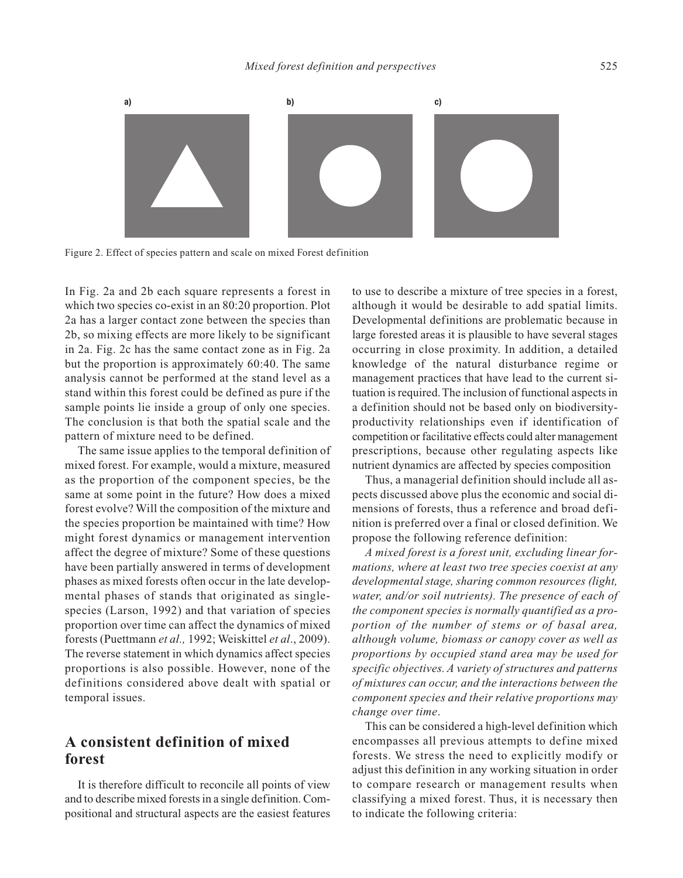

Figure 2. Effect of species pattern and scale on mixed Forest definition

In Fig. 2a and 2b each square represents a forest in which two species co-exist in an 80:20 proportion. Plot 2a has a larger contact zone between the species than 2b, so mixing effects are more likely to be significant in 2a. Fig. 2c has the same contact zone as in Fig. 2a but the proportion is approximately 60:40. The same analysis cannot be performed at the stand level as a stand within this forest could be defined as pure if the sample points lie inside a group of only one species. The conclusion is that both the spatial scale and the pattern of mixture need to be defined.

The same issue applies to the temporal definition of mixed forest. For example, would a mixture, measured as the proportion of the component species, be the same at some point in the future? How does a mixed forest evolve? Will the composition of the mixture and the species proportion be maintained with time? How might forest dynamics or management intervention affect the degree of mixture? Some of these questions have been partially answered in terms of development phases as mixed forests often occur in the late developmental phases of stands that originated as singlespecies (Larson, 1992) and that variation of species proportion over time can affect the dynamics of mixed forests (Puettmann *et al.,* 1992; Weiskittel *et al*., 2009). The reverse statement in which dynamics affect species proportions is also possible. However, none of the definitions considered above dealt with spatial or temporal issues.

## **A consistent definition of mixed forest**

It is therefore difficult to reconcile all points of view and to describe mixed forests in a single definition. Compositional and structural aspects are the easiest features to use to describe a mixture of tree species in a forest, although it would be desirable to add spatial limits. Developmental definitions are problematic because in large forested areas it is plausible to have several stages occurring in close proximity. In addition, a detailed knowledge of the natural disturbance regime or management practices that have lead to the current situation is required. The inclusion of functional aspects in a definition should not be based only on biodiversityproductivity relationships even if identification of competition or facilitative effects could alter management prescriptions, because other regulating aspects like nutrient dynamics are affected by species composition

Thus, a managerial definition should include all aspects discussed above plus the economic and social dimensions of forests, thus a reference and broad definition is preferred over a final or closed definition. We propose the following reference definition:

*A mixed forest is a forest unit, excluding linear formations, where at least two tree species coexist at any developmental stage, sharing common resources (light, water, and/or soil nutrients). The presence of each of the component species is normally quantified as a proportion of the number of stems or of basal area, although volume, biomass or canopy cover as well as proportions by occupied stand area may be used for specific objectives. A variety of structures and patterns of mixtures can occur, and the interactions between the component species and their relative proportions may change over time*.

This can be considered a high-level definition which encompasses all previous attempts to define mixed forests. We stress the need to explicitly modify or adjust this definition in any working situation in order to compare research or management results when classifying a mixed forest. Thus, it is necessary then to indicate the following criteria: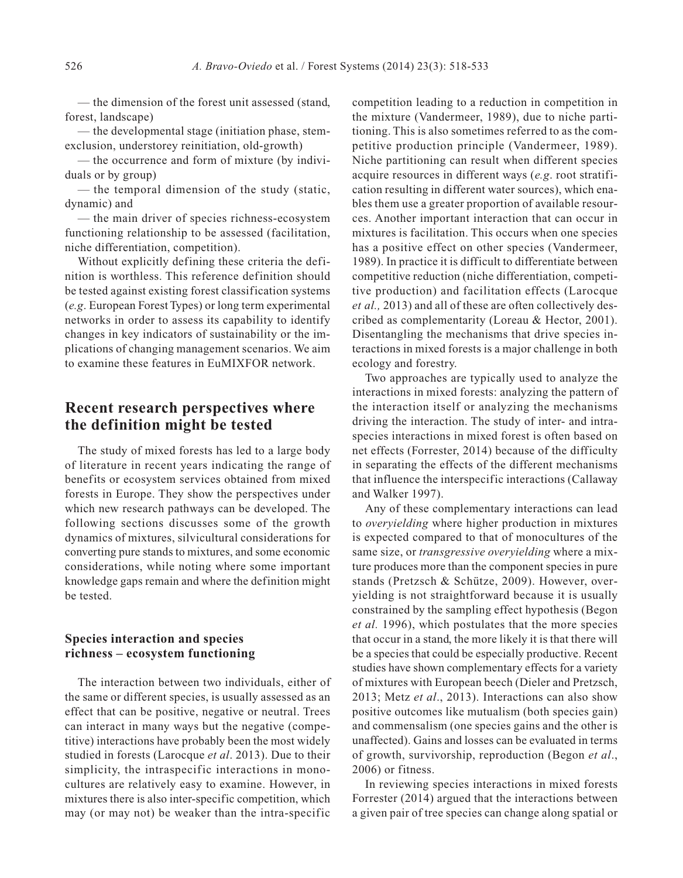— the dimension of the forest unit assessed (stand, forest, landscape)

— the developmental stage (initiation phase, stemexclusion, understorey reinitiation, old-growth)

— the occurrence and form of mixture (by individuals or by group)

— the temporal dimension of the study (static, dynamic) and

— the main driver of species richness-ecosystem functioning relationship to be assessed (facilitation, niche differentiation, competition).

Without explicitly defining these criteria the definition is worthless. This reference definition should be tested against existing forest classification systems (*e.g*. European Forest Types) or long term experimental networks in order to assess its capability to identify changes in key indicators of sustainability or the implications of changing management scenarios. We aim to examine these features in EuMIXFOR network.

## **Recent research perspectives where the definition might be tested**

The study of mixed forests has led to a large body of literature in recent years indicating the range of benefits or ecosystem services obtained from mixed forests in Europe. They show the perspectives under which new research pathways can be developed. The following sections discusses some of the growth dynamics of mixtures, silvicultural considerations for converting pure stands to mixtures, and some economic considerations, while noting where some important knowledge gaps remain and where the definition might be tested.

### **Species interaction and species richness – ecosystem functioning**

The interaction between two individuals, either of the same or different species, is usually assessed as an effect that can be positive, negative or neutral. Trees can interact in many ways but the negative (competitive) interactions have probably been the most widely studied in forests (Larocque *et al*. 2013). Due to their simplicity, the intraspecific interactions in monocultures are relatively easy to examine. However, in mixtures there is also inter-specific competition, which may (or may not) be weaker than the intra-specific

competition leading to a reduction in competition in the mixture (Vandermeer, 1989), due to niche partitioning. This is also sometimes referred to as the competitive production principle (Vandermeer, 1989). Niche partitioning can result when different species acquire resources in different ways (*e.g*. root stratification resulting in different water sources), which enables them use a greater proportion of available resources. Another important interaction that can occur in mixtures is facilitation. This occurs when one species has a positive effect on other species (Vandermeer, 1989). In practice it is difficult to differentiate between competitive reduction (niche differentiation, competitive production) and facilitation effects (Larocque *et al.,* 2013) and all of these are often collectively described as complementarity (Loreau & Hector, 2001). Disentangling the mechanisms that drive species interactions in mixed forests is a major challenge in both ecology and forestry.

Two approaches are typically used to analyze the interactions in mixed forests: analyzing the pattern of the interaction itself or analyzing the mechanisms driving the interaction. The study of inter- and intraspecies interactions in mixed forest is often based on net effects (Forrester, 2014) because of the difficulty in separating the effects of the different mechanisms that influence the interspecific interactions (Callaway and Walker 1997).

Any of these complementary interactions can lead to *overyielding* where higher production in mixtures is expected compared to that of monocultures of the same size, or *transgressive overyielding* where a mixture produces more than the component species in pure stands (Pretzsch & Schütze, 2009). However, overyielding is not straightforward because it is usually constrained by the sampling effect hypothesis (Begon *et al.* 1996), which postulates that the more species that occur in a stand, the more likely it is that there will be a species that could be especially productive. Recent studies have shown complementary effects for a variety of mixtures with European beech (Dieler and Pretzsch, 2013; Metz *et al*., 2013). Interactions can also show positive outcomes like mutualism (both species gain) and commensalism (one species gains and the other is unaffected). Gains and losses can be evaluated in terms of growth, survivorship, reproduction (Begon *et al*., 2006) or fitness.

In reviewing species interactions in mixed forests Forrester (2014) argued that the interactions between a given pair of tree species can change along spatial or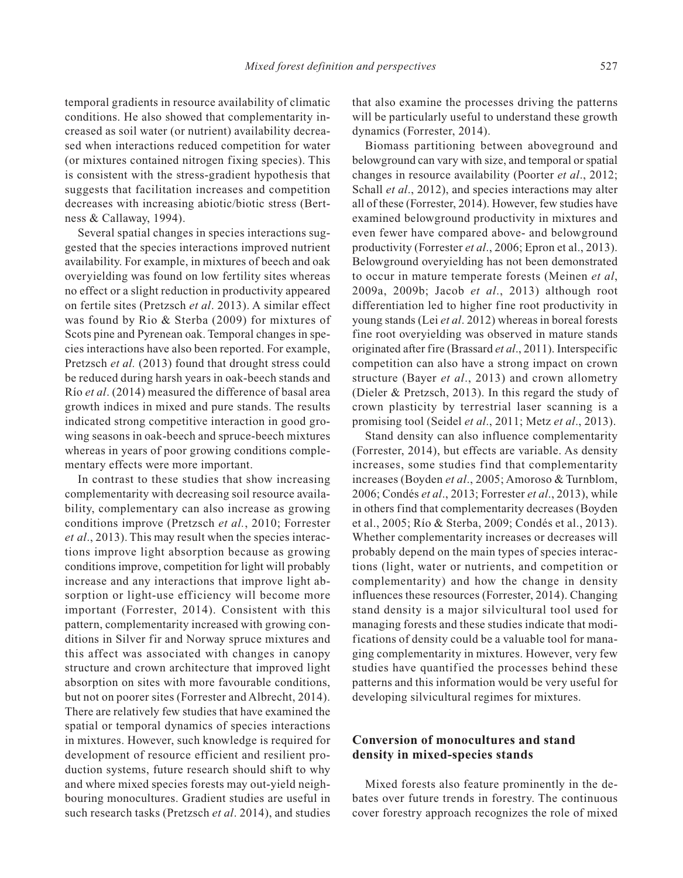temporal gradients in resource availability of climatic conditions. He also showed that complementarity increased as soil water (or nutrient) availability decreased when interactions reduced competition for water (or mixtures contained nitrogen fixing species). This is consistent with the stress-gradient hypothesis that suggests that facilitation increases and competition decreases with increasing abiotic/biotic stress (Bertness & Callaway, 1994).

Several spatial changes in species interactions suggested that the species interactions improved nutrient availability. For example, in mixtures of beech and oak overyielding was found on low fertility sites whereas no effect or a slight reduction in productivity appeared on fertile sites (Pretzsch *et al*. 2013). A similar effect was found by Rio & Sterba (2009) for mixtures of Scots pine and Pyrenean oak. Temporal changes in species interactions have also been reported. For example, Pretzsch *et al.* (2013) found that drought stress could be reduced during harsh years in oak-beech stands and Río *et al*. (2014) measured the difference of basal area growth indices in mixed and pure stands. The results indicated strong competitive interaction in good growing seasons in oak-beech and spruce-beech mixtures whereas in years of poor growing conditions complementary effects were more important.

In contrast to these studies that show increasing complementarity with decreasing soil resource availability, complementary can also increase as growing conditions improve (Pretzsch *et al.*, 2010; Forrester *et al*., 2013). This may result when the species interactions improve light absorption because as growing conditions improve, competition for light will probably increase and any interactions that improve light absorption or light-use efficiency will become more important (Forrester, 2014). Consistent with this pattern, complementarity increased with growing conditions in Silver fir and Norway spruce mixtures and this affect was associated with changes in canopy structure and crown architecture that improved light absorption on sites with more favourable conditions, but not on poorer sites (Forrester and Albrecht, 2014). There are relatively few studies that have examined the spatial or temporal dynamics of species interactions in mixtures. However, such knowledge is required for development of resource efficient and resilient production systems, future research should shift to why and where mixed species forests may out-yield neighbouring monocultures. Gradient studies are useful in such research tasks (Pretzsch *et al*. 2014), and studies

that also examine the processes driving the patterns will be particularly useful to understand these growth dynamics (Forrester, 2014).

Biomass partitioning between aboveground and belowground can vary with size, and temporal or spatial changes in resource availability (Poorter *et al*., 2012; Schall *et al.*, 2012), and species interactions may alter all of these (Forrester, 2014). However, few studies have examined belowground productivity in mixtures and even fewer have compared above- and belowground productivity (Forrester *et al*., 2006; Epron et al., 2013). Belowground overyielding has not been demonstrated to occur in mature temperate forests (Meinen *et al*, 2009a, 2009b; Jacob *et al*., 2013) although root differentiation led to higher fine root productivity in young stands (Lei *et al*. 2012) whereas in boreal forests fine root overyielding was observed in mature stands originated after fire (Brassard *et al*., 2011). Interspecific competition can also have a strong impact on crown structure (Bayer *et al*., 2013) and crown allometry (Dieler & Pretzsch, 2013). In this regard the study of crown plasticity by terrestrial laser scanning is a promising tool (Seidel *et al*., 2011; Metz *et al*., 2013).

Stand density can also influence complementarity (Forrester, 2014), but effects are variable. As density increases, some studies find that complementarity increases (Boyden *et al*., 2005; Amoroso & Turnblom, 2006; Condés *et al*., 2013; Forrester *et al*., 2013), while in others find that complementarity decreases (Boyden et al., 2005; Río & Sterba, 2009; Condés et al., 2013). Whether complementarity increases or decreases will probably depend on the main types of species interactions (light, water or nutrients, and competition or complementarity) and how the change in density influences these resources (Forrester, 2014). Changing stand density is a major silvicultural tool used for managing forests and these studies indicate that modifications of density could be a valuable tool for managing complementarity in mixtures. However, very few studies have quantified the processes behind these patterns and this information would be very useful for developing silvicultural regimes for mixtures.

### **Conversion of monocultures and stand density in mixed-species stands**

Mixed forests also feature prominently in the debates over future trends in forestry. The continuous cover forestry approach recognizes the role of mixed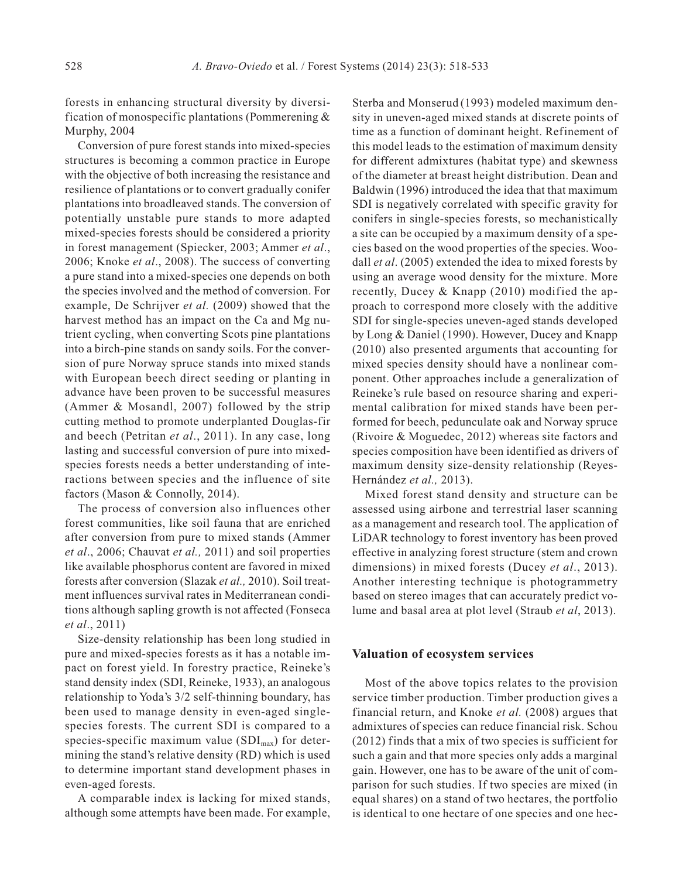forests in enhancing structural diversity by diversification of monospecific plantations (Pommerening & Murphy, 2004

Conversion of pure forest stands into mixed-species structures is becoming a common practice in Europe with the objective of both increasing the resistance and resilience of plantations or to convert gradually conifer plantations into broadleaved stands. The conversion of potentially unstable pure stands to more adapted mixed-species forests should be considered a priority in forest management (Spiecker, 2003; Ammer *et al*., 2006; Knoke *et al*., 2008). The success of converting a pure stand into a mixed-species one depends on both the species involved and the method of conversion. For example, De Schrijver *et al.* (2009) showed that the harvest method has an impact on the Ca and Mg nutrient cycling, when converting Scots pine plantations into a birch-pine stands on sandy soils. For the conversion of pure Norway spruce stands into mixed stands with European beech direct seeding or planting in advance have been proven to be successful measures (Ammer & Mosandl, 2007) followed by the strip cutting method to promote underplanted Douglas-fir and beech (Petritan *et al*., 2011). In any case, long lasting and successful conversion of pure into mixedspecies forests needs a better understanding of interactions between species and the influence of site factors (Mason & Connolly, 2014).

The process of conversion also influences other forest communities, like soil fauna that are enriched after conversion from pure to mixed stands (Ammer *et al*., 2006; Chauvat *et al.,* 2011) and soil properties like available phosphorus content are favored in mixed forests after conversion (Slazak *et al.,* 2010). Soil treatment influences survival rates in Mediterranean conditions although sapling growth is not affected (Fonseca *et al*., 2011)

Size-density relationship has been long studied in pure and mixed-species forests as it has a notable impact on forest yield. In forestry practice, Reineke's stand density index (SDI, Reineke, 1933), an analogous relationship to Yoda's 3/2 self-thinning boundary, has been used to manage density in even-aged singlespecies forests. The current SDI is compared to a species-specific maximum value  $(SDI_{max})$  for determining the stand's relative density (RD) which is used to determine important stand development phases in even-aged forests.

A comparable index is lacking for mixed stands, although some attempts have been made. For example,

Sterba and Monserud (1993) modeled maximum density in uneven-aged mixed stands at discrete points of time as a function of dominant height. Refinement of this model leads to the estimation of maximum density for different admixtures (habitat type) and skewness of the diameter at breast height distribution. Dean and Baldwin (1996) introduced the idea that that maximum SDI is negatively correlated with specific gravity for conifers in single-species forests, so mechanistically a site can be occupied by a maximum density of a species based on the wood properties of the species. Woodall *et al*. (2005) extended the idea to mixed forests by using an average wood density for the mixture. More recently, Ducey & Knapp (2010) modified the approach to correspond more closely with the additive SDI for single-species uneven-aged stands developed by Long & Daniel (1990). However, Ducey and Knapp (2010) also presented arguments that accounting for mixed species density should have a nonlinear component. Other approaches include a generalization of Reineke's rule based on resource sharing and experimental calibration for mixed stands have been performed for beech, pedunculate oak and Norway spruce (Rivoire & Moguedec, 2012) whereas site factors and species composition have been identified as drivers of maximum density size-density relationship (Reyes-Hernández *et al.,* 2013).

Mixed forest stand density and structure can be assessed using airbone and terrestrial laser scanning as a management and research tool. The application of LiDAR technology to forest inventory has been proved effective in analyzing forest structure (stem and crown dimensions) in mixed forests (Ducey *et al*., 2013). Another interesting technique is photogrammetry based on stereo images that can accurately predict volume and basal area at plot level (Straub *et al*, 2013).

#### **Valuation of ecosystem services**

Most of the above topics relates to the provision service timber production. Timber production gives a financial return, and Knoke *et al.* (2008) argues that admixtures of species can reduce financial risk. Schou (2012) finds that a mix of two species is sufficient for such a gain and that more species only adds a marginal gain. However, one has to be aware of the unit of comparison for such studies. If two species are mixed (in equal shares) on a stand of two hectares, the portfolio is identical to one hectare of one species and one hec-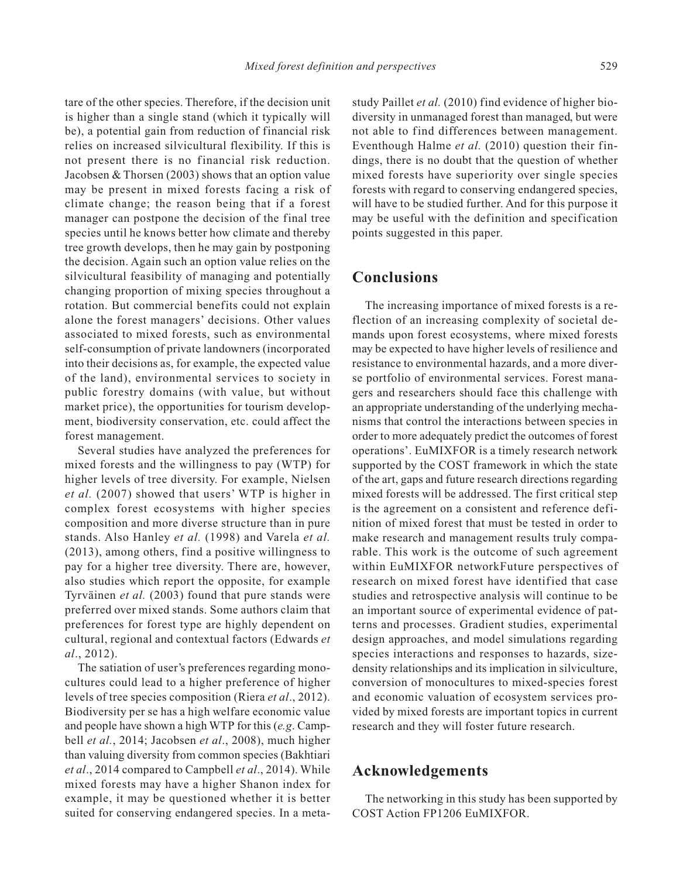tare of the other species. Therefore, if the decision unit is higher than a single stand (which it typically will be), a potential gain from reduction of financial risk relies on increased silvicultural flexibility. If this is not present there is no financial risk reduction. Jacobsen & Thorsen (2003) shows that an option value may be present in mixed forests facing a risk of climate change; the reason being that if a forest manager can postpone the decision of the final tree species until he knows better how climate and thereby tree growth develops, then he may gain by postponing the decision. Again such an option value relies on the silvicultural feasibility of managing and potentially changing proportion of mixing species throughout a rotation. But commercial benefits could not explain alone the forest managers' decisions. Other values associated to mixed forests, such as environmental self-consumption of private landowners (incorporated into their decisions as, for example, the expected value of the land), environmental services to society in

public forestry domains (with value, but without market price), the opportunities for tourism development, biodiversity conservation, etc. could affect the forest management.

Several studies have analyzed the preferences for mixed forests and the willingness to pay (WTP) for higher levels of tree diversity. For example, Nielsen *et al.* (2007) showed that users' WTP is higher in complex forest ecosystems with higher species composition and more diverse structure than in pure stands. Also Hanley *et al.* (1998) and Varela *et al.* (2013), among others, find a positive willingness to pay for a higher tree diversity. There are, however, also studies which report the opposite, for example Tyrväinen *et al.* (2003) found that pure stands were preferred over mixed stands. Some authors claim that preferences for forest type are highly dependent on cultural, regional and contextual factors (Edwards *et al*., 2012).

The satiation of user's preferences regarding monocultures could lead to a higher preference of higher levels of tree species composition (Riera *et al*., 2012). Biodiversity per se has a high welfare economic value and people have shown a high WTP for this (*e.g*. Campbell *et al.*, 2014; Jacobsen *et al*., 2008), much higher than valuing diversity from common species (Bakhtiari *et al*., 2014 compared to Campbell *et al*., 2014). While mixed forests may have a higher Shanon index for example, it may be questioned whether it is better suited for conserving endangered species. In a metastudy Paillet *et al.* (2010) find evidence of higher biodiversity in unmanaged forest than managed, but were not able to find differences between management. Eventhough Halme *et al.* (2010) question their findings, there is no doubt that the question of whether mixed forests have superiority over single species forests with regard to conserving endangered species, will have to be studied further. And for this purpose it may be useful with the definition and specification points suggested in this paper.

## **Conclusions**

The increasing importance of mixed forests is a reflection of an increasing complexity of societal demands upon forest ecosystems, where mixed forests may be expected to have higher levels of resilience and resistance to environmental hazards, and a more diverse portfolio of environmental services. Forest managers and researchers should face this challenge with an appropriate understanding of the underlying mechanisms that control the interactions between species in order to more adequately predict the outcomes of forest operations'. EuMIXFOR is a timely research network supported by the COST framework in which the state of the art, gaps and future research directions regarding mixed forests will be addressed. The first critical step is the agreement on a consistent and reference definition of mixed forest that must be tested in order to make research and management results truly comparable. This work is the outcome of such agreement within EuMIXFOR networkFuture perspectives of research on mixed forest have identified that case studies and retrospective analysis will continue to be an important source of experimental evidence of patterns and processes. Gradient studies, experimental design approaches, and model simulations regarding species interactions and responses to hazards, sizedensity relationships and its implication in silviculture, conversion of monocultures to mixed-species forest and economic valuation of ecosystem services provided by mixed forests are important topics in current research and they will foster future research.

### **Acknowledgements**

The networking in this study has been supported by COST Action FP1206 EuMIXFOR.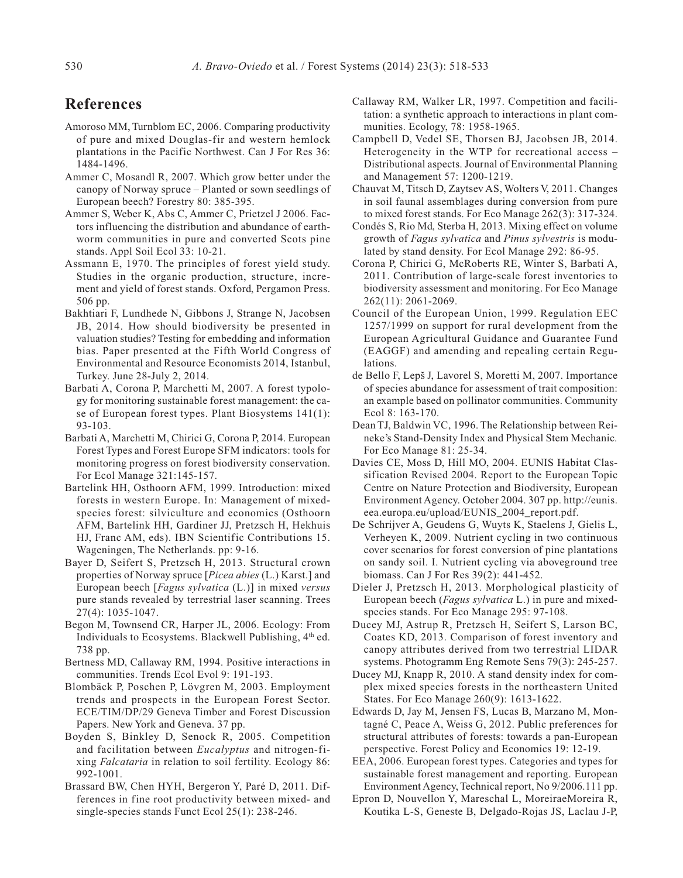## **References**

- Amoroso MM, Turnblom EC, 2006. Comparing productivity of pure and mixed Douglas-fir and western hemlock plantations in the Pacific Northwest. Can J For Res 36: 1484-1496.
- Ammer C, Mosandl R, 2007. Which grow better under the canopy of Norway spruce – Planted or sown seedlings of European beech? Forestry 80: 385-395.
- Ammer S, Weber K, Abs C, Ammer C, Prietzel J 2006. Factors influencing the distribution and abundance of earthworm communities in pure and converted Scots pine stands. Appl Soil Ecol 33: 10-21.
- Assmann E, 1970. The principles of forest yield study. Studies in the organic production, structure, increment and yield of forest stands. Oxford, Pergamon Press. 506 pp.
- Bakhtiari F, Lundhede N, Gibbons J, Strange N, Jacobsen JB, 2014. How should biodiversity be presented in valuation studies? Testing for embedding and information bias. Paper presented at the Fifth World Congress of Environmental and Resource Economists 2014, Istanbul, Turkey. June 28-July 2, 2014.
- Barbati A, Corona P, Marchetti M, 2007. A forest typology for monitoring sustainable forest management: the case of European forest types. Plant Biosystems 141(1): 93-103.
- Barbati A, Marchetti M, Chirici G, Corona P, 2014. European Forest Types and Forest Europe SFM indicators: tools for monitoring progress on forest biodiversity conservation. For Ecol Manage 321:145-157.
- Bartelink HH, Osthoorn AFM, 1999. Introduction: mixed forests in western Europe. In: Management of mixedspecies forest: silviculture and economics (Osthoorn AFM, Bartelink HH, Gardiner JJ, Pretzsch H, Hekhuis HJ, Franc AM, eds). IBN Scientific Contributions 15. Wageningen, The Netherlands. pp: 9-16.
- Bayer D, Seifert S, Pretzsch H, 2013. Structural crown properties of Norway spruce [*Picea abies* (L.) Karst.] and European beech [*Fagus sylvatica* (L.)] in mixed *versus* pure stands revealed by terrestrial laser scanning. Trees 27(4): 1035-1047.
- Begon M, Townsend CR, Harper JL, 2006. Ecology: From Individuals to Ecosystems. Blackwell Publishing, 4<sup>th</sup> ed. 738 pp.
- Bertness MD, Callaway RM, 1994. Positive interactions in communities. Trends Ecol Evol 9: 191-193.
- Blombäck P, Poschen P, Lövgren M, 2003. Employment trends and prospects in the European Forest Sector. ECE/TIM/DP/29 Geneva Timber and Forest Discussion Papers. New York and Geneva. 37 pp.
- Boyden S, Binkley D, Senock R, 2005. Competition and facilitation between *Eucalyptus* and nitrogen-fixing *Falcataria* in relation to soil fertility. Ecology 86: 992-1001.
- Brassard BW, Chen HYH, Bergeron Y, Paré D, 2011. Differences in fine root productivity between mixed- and single-species stands Funct Ecol 25(1): 238-246.
- Callaway RM, Walker LR, 1997. Competition and facilitation: a synthetic approach to interactions in plant communities. Ecology, 78: 1958-1965.
- Campbell D, Vedel SE, Thorsen BJ, Jacobsen JB, 2014. Heterogeneity in the WTP for recreational access – Distributional aspects. Journal of Environmental Planning and Management 57: 1200-1219.
- Chauvat M, Titsch D, Zaytsev AS, Wolters V, 2011. Changes in soil faunal assemblages during conversion from pure to mixed forest stands. For Eco Manage 262(3): 317-324.
- Condés S, Rio Md, Sterba H, 2013. Mixing effect on volume growth of *Fagus sylvatica* and *Pinus sylvestris* is modulated by stand density. For Ecol Manage 292: 86-95.
- Corona P, Chirici G, McRoberts RE, Winter S, Barbati A, 2011. Contribution of large-scale forest inventories to biodiversity assessment and monitoring. For Eco Manage 262(11): 2061-2069.
- Council of the European Union, 1999. Regulation EEC 1257/1999 on support for rural development from the European Agricultural Guidance and Guarantee Fund (EAGGF) and amending and repealing certain Regulations.
- de Bello F, Lepš J, Lavorel S, Moretti M, 2007. Importance of species abundance for assessment of trait composition: an example based on pollinator communities. Community Ecol 8: 163-170.
- Dean TJ, Baldwin VC, 1996. The Relationship between Reineke's Stand-Density Index and Physical Stem Mechanic*.* For Eco Manage 81: 25-34.
- Davies CE, Moss D, Hill MO, 2004. EUNIS Habitat Classification Revised 2004. Report to the European Topic Centre on Nature Protection and Biodiversity, European Environment Agency. October 2004. 307 pp. http://eunis. eea.europa.eu/upload/EUNIS\_2004\_report.pdf.
- De Schrijver A, Geudens G, Wuyts K, Staelens J, Gielis L, Verheyen K, 2009. Nutrient cycling in two continuous cover scenarios for forest conversion of pine plantations on sandy soil. I. Nutrient cycling via aboveground tree biomass. Can J For Res 39(2): 441-452.
- Dieler J, Pretzsch H, 2013. Morphological plasticity of European beech (*Fagus sylvatica* L.) in pure and mixedspecies stands. For Eco Manage 295: 97-108.
- Ducey MJ, Astrup R, Pretzsch H, Seifert S, Larson BC, Coates KD, 2013. Comparison of forest inventory and canopy attributes derived from two terrestrial LIDAR systems. Photogramm Eng Remote Sens 79(3): 245-257.
- Ducey MJ, Knapp R, 2010. A stand density index for complex mixed species forests in the northeastern United States. For Eco Manage 260(9): 1613-1622.
- Edwards D, Jay M, Jensen FS, Lucas B, Marzano M, Montagné C, Peace A, Weiss G, 2012. Public preferences for structural attributes of forests: towards a pan-European perspective. Forest Policy and Economics 19: 12-19.
- EEA, 2006. European forest types. Categories and types for sustainable forest management and reporting. European Environment Agency, Technical report, No 9/2006.111 pp.
- Epron D, Nouvellon Y, Mareschal L, MoreiraeMoreira R, Koutika L-S, Geneste B, Delgado-Rojas JS, Laclau J-P,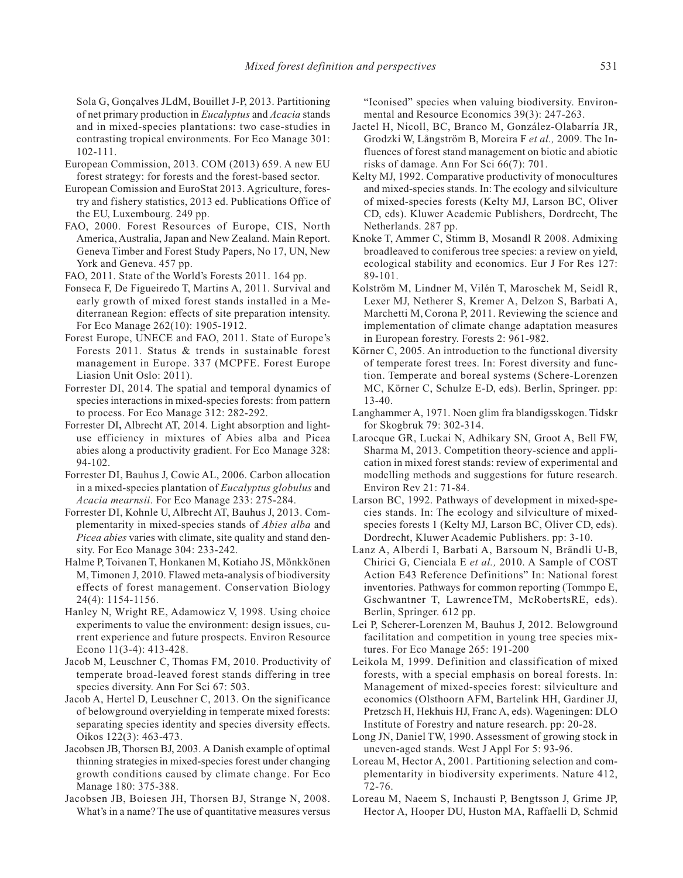Sola G, Gonçalves JLdM, Bouillet J-P, 2013. Partitioning of net primary production in *Eucalyptus* and *Acacia* stands and in mixed-species plantations: two case-studies in contrasting tropical environments. For Eco Manage 301: 102-111.

- European Commission, 2013. COM (2013) 659. A new EU forest strategy: for forests and the forest-based sector.
- European Comission and EuroStat 2013. Agriculture, forestry and fishery statistics, 2013 ed. Publications Office of the EU, Luxembourg. 249 pp.
- FAO, 2000. Forest Resources of Europe, CIS, North America, Australia, Japan and New Zealand. Main Report. Geneva Timber and Forest Study Papers, No 17, UN, New York and Geneva. 457 pp.
- FAO, 2011. State of the World's Forests 2011. 164 pp.
- Fonseca F, De Figueiredo T, Martins A, 2011. Survival and early growth of mixed forest stands installed in a Mediterranean Region: effects of site preparation intensity. For Eco Manage 262(10): 1905-1912.
- Forest Europe, UNECE and FAO, 2011. State of Europe's Forests 2011. Status & trends in sustainable forest management in Europe. 337 (MCPFE. Forest Europe Liasion Unit Oslo: 2011).
- Forrester DI, 2014. The spatial and temporal dynamics of species interactions in mixed-species forests: from pattern to process. For Eco Manage 312: 282-292.
- Forrester DI**,** Albrecht AT, 2014. Light absorption and lightuse efficiency in mixtures of Abies alba and Picea abies along a productivity gradient. For Eco Manage 328: 94-102.
- Forrester DI, Bauhus J, Cowie AL, 2006. Carbon allocation in a mixed-species plantation of *Eucalyptus globulus* and *Acacia mearnsii*. For Eco Manage 233: 275-284.
- Forrester DI, Kohnle U, Albrecht AT, Bauhus J, 2013. Complementarity in mixed-species stands of *Abies alba* and *Picea abies* varies with climate, site quality and stand density. For Eco Manage 304: 233-242.
- Halme P, Toivanen T, Honkanen M, Kotiaho JS, Mönkkönen M, Timonen J, 2010. Flawed meta-analysis of biodiversity effects of forest management. Conservation Biology 24(4): 1154-1156.
- Hanley N, Wright RE, Adamowicz V, 1998. Using choice experiments to value the environment: design issues, current experience and future prospects. Environ Resource Econo 11(3-4): 413-428.
- Jacob M, Leuschner C, Thomas FM, 2010. Productivity of temperate broad-leaved forest stands differing in tree species diversity. Ann For Sci 67: 503.
- Jacob A, Hertel D, Leuschner C, 2013. On the significance of belowground overyielding in temperate mixed forests: separating species identity and species diversity effects. Oikos 122(3): 463-473.
- Jacobsen JB, Thorsen BJ, 2003. A Danish example of optimal thinning strategies in mixed-species forest under changing growth conditions caused by climate change. For Eco Manage 180: 375-388.
- Jacobsen JB, Boiesen JH, Thorsen BJ, Strange N, 2008. What's in a name? The use of quantitative measures versus

"Iconised" species when valuing biodiversity. Environmental and Resource Economics 39(3): 247-263.

- Jactel H, Nicoll, BC, Branco M, González-Olabarría JR, Grodzki W, Långström B, Moreira F *et al.,* 2009. The Influences of forest stand management on biotic and abiotic risks of damage. Ann For Sci 66(7): 701.
- Kelty MJ, 1992. Comparative productivity of monocultures and mixed-species stands. In: The ecology and silviculture of mixed-species forests (Kelty MJ, Larson BC, Oliver CD, eds). Kluwer Academic Publishers, Dordrecht, The Netherlands. 287 pp.
- Knoke T, Ammer C, Stimm B, Mosandl R 2008. Admixing broadleaved to coniferous tree species: a review on yield, ecological stability and economics. Eur J For Res 127: 89-101.
- Kolström M, Lindner M, Vilén T, Maroschek M, Seidl R, Lexer MJ, Netherer S, Kremer A, Delzon S, Barbati A, Marchetti M, Corona P, 2011. Reviewing the science and implementation of climate change adaptation measures in European forestry. Forests 2: 961-982.
- Körner C, 2005. An introduction to the functional diversity of temperate forest trees. In: Forest diversity and function. Temperate and boreal systems (Schere-Lorenzen MC, Körner C, Schulze E-D, eds). Berlin, Springer. pp: 13-40.
- Langhammer A, 1971. Noen glim fra blandigsskogen. Tidskr for Skogbruk 79: 302-314.
- Larocque GR, Luckai N, Adhikary SN, Groot A, Bell FW, Sharma M, 2013. Competition theory-science and application in mixed forest stands: review of experimental and modelling methods and suggestions for future research. Environ Rev 21: 71-84.
- Larson BC, 1992. Pathways of development in mixed-species stands. In: The ecology and silviculture of mixedspecies forests 1 (Kelty MJ, Larson BC, Oliver CD, eds). Dordrecht, Kluwer Academic Publishers. pp: 3-10.
- Lanz A, Alberdi I, Barbati A, Barsoum N, Brändli U-B, Chirici G, Cienciala E *et al.,* 2010. A Sample of COST Action E43 Reference Definitions" In: National forest inventories. Pathways for common reporting (Tommpo E, Gschwantner T, LawrenceTM, McRobertsRE, eds). Berlin, Springer. 612 pp.
- Lei P, Scherer-Lorenzen M, Bauhus J, 2012. Belowground facilitation and competition in young tree species mixtures. For Eco Manage 265: 191-200
- Leikola M, 1999. Definition and classification of mixed forests, with a special emphasis on boreal forests. In: Management of mixed-species forest: silviculture and economics (Olsthoorn AFM, Bartelink HH, Gardiner JJ, Pretzsch H, Hekhuis HJ, Franc A, eds). Wageningen: DLO Institute of Forestry and nature research. pp: 20-28.
- Long JN, Daniel TW, 1990. Assessment of growing stock in uneven-aged stands. West J Appl For 5: 93-96.
- Loreau M, Hector A, 2001. Partitioning selection and complementarity in biodiversity experiments. Nature 412, 72-76.
- Loreau M, Naeem S, Inchausti P, Bengtsson J, Grime JP, Hector A, Hooper DU, Huston MA, Raffaelli D, Schmid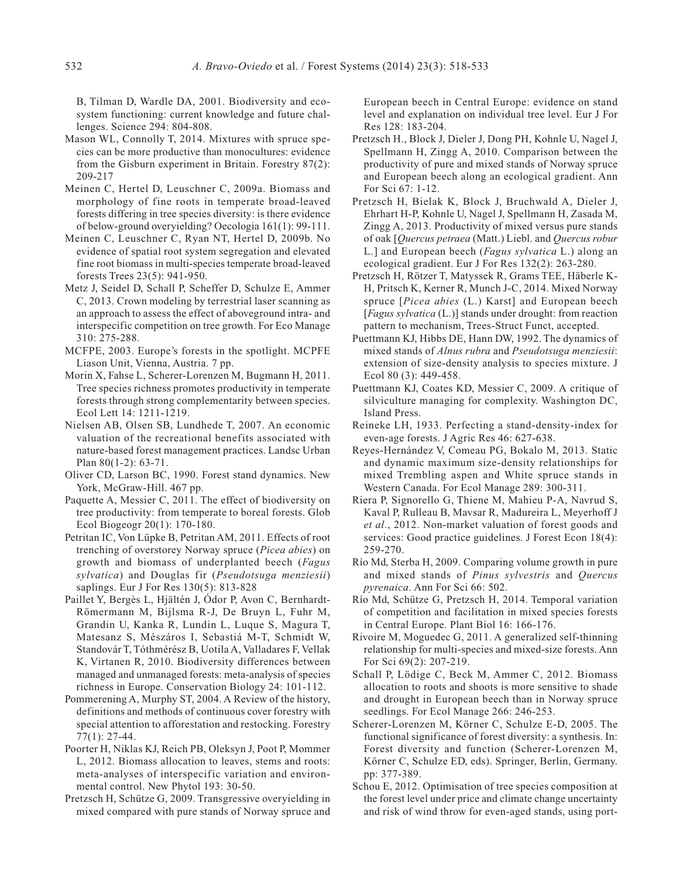B, Tilman D, Wardle DA, 2001. Biodiversity and ecosystem functioning: current knowledge and future challenges. Science 294: 804-808.

- Mason WL, Connolly T, 2014. Mixtures with spruce species can be more productive than monocultures: evidence from the Gisburn experiment in Britain. Forestry 87(2): 209-217
- Meinen C, Hertel D, Leuschner C, 2009a. Biomass and morphology of fine roots in temperate broad-leaved forests differing in tree species diversity: is there evidence of below-ground overyielding? Oecologia 161(1): 99-111.
- Meinen C, Leuschner C, Ryan NT, Hertel D, 2009b. No evidence of spatial root system segregation and elevated fine root biomass in multi-species temperate broad-leaved forests Trees 23(5): 941-950.
- Metz J, Seidel D, Schall P, Scheffer D, Schulze E, Ammer C, 2013. Crown modeling by terrestrial laser scanning as an approach to assess the effect of aboveground intra- and interspecific competition on tree growth. For Eco Manage 310: 275-288.
- MCFPE, 2003. Europe's forests in the spotlight. MCPFE Liason Unit, Vienna, Austria. 7 pp.
- Morin X, Fahse L, Scherer-Lorenzen M, Bugmann H, 2011. Tree species richness promotes productivity in temperate forests through strong complementarity between species. Ecol Lett 14: 1211-1219.
- Nielsen AB, Olsen SB, Lundhede T, 2007. An economic valuation of the recreational benefits associated with nature-based forest management practices. Landsc Urban Plan 80(1-2): 63-71.
- Oliver CD, Larson BC, 1990. Forest stand dynamics. New York, McGraw-Hill. 467 pp.
- Paquette A, Messier C, 2011. The effect of biodiversity on tree productivity: from temperate to boreal forests. Glob Ecol Biogeogr 20(1): 170-180.
- Petritan IC, Von Lüpke B, Petritan AM, 2011. Effects of root trenching of overstorey Norway spruce (*Picea abies*) on growth and biomass of underplanted beech (*Fagus sylvatica*) and Douglas fir (*Pseudotsuga menziesii*) saplings. Eur J For Res 130(5): 813-828
- Paillet Y, Bergès L, Hjältén J, Ódor P, Avon C, Bernhardt-Römermann M, Bijlsma R-J, De Bruyn L, Fuhr M, Grandin U, Kanka R, Lundin L, Luque S, Magura T, Matesanz S, Mészáros I, Sebastiá M-T, Schmidt W, Standovár T, Tóthmérész B, Uotila A, Valladares F, Vellak K, Virtanen R, 2010. Biodiversity differences between managed and unmanaged forests: meta-analysis of species richness in Europe. Conservation Biology 24: 101-112.
- Pommerening A, Murphy ST, 2004. A Review of the history, definitions and methods of continuous cover forestry with special attention to afforestation and restocking. Forestry 77(1): 27-44.
- Poorter H, Niklas KJ, Reich PB, Oleksyn J, Poot P, Mommer L, 2012. Biomass allocation to leaves, stems and roots: meta-analyses of interspecific variation and environmental control. New Phytol 193: 30-50.
- Pretzsch H, Schütze G, 2009. Transgressive overyielding in mixed compared with pure stands of Norway spruce and

European beech in Central Europe: evidence on stand level and explanation on individual tree level. Eur J For Res 128: 183-204.

- Pretzsch H., Block J, Dieler J, Dong PH, Kohnle U, Nagel J, Spellmann H, Zingg A, 2010. Comparison between the productivity of pure and mixed stands of Norway spruce and European beech along an ecological gradient. Ann For Sci 67: 1-12.
- Pretzsch H, Bielak K, Block J, Bruchwald A, Dieler J, Ehrhart H-P, Kohnle U, Nagel J, Spellmann H, Zasada M, Zingg A, 2013. Productivity of mixed versus pure stands of oak [*Quercus petraea* (Matt.) Liebl. and *Quercus robur* L.] and European beech (*Fagus sylvatica* L.) along an ecological gradient. Eur J For Res 132(2): 263-280.
- Pretzsch H, Rötzer T, Matyssek R, Grams TEE, Häberle K-H, Pritsch K, Kerner R, Munch J-C, 2014. Mixed Norway spruce [*Picea abies* (L.) Karst] and European beech [*Fagus sylvatica* (L.)] stands under drought: from reaction pattern to mechanism, Trees-Struct Funct, accepted.
- Puettmann KJ, Hibbs DE, Hann DW, 1992. The dynamics of mixed stands of *Alnus rubra* and *Pseudotsuga menziesii*: extension of size-density analysis to species mixture. J Ecol 80 (3): 449-458.
- Puettmann KJ, Coates KD, Messier C, 2009. A critique of silviculture managing for complexity. Washington DC, Island Press.
- Reineke LH, 1933. Perfecting a stand-density-index for even-age forests. J Agric Res 46: 627-638.
- Reyes-Hernández V, Comeau PG, Bokalo M, 2013. Static and dynamic maximum size-density relationships for mixed Trembling aspen and White spruce stands in Western Canada. For Ecol Manage 289: 300-311.
- Riera P, Signorello G, Thiene M, Mahieu P-A, Navrud S, Kaval P, Rulleau B, Mavsar R, Madureira L, Meyerhoff J *et al*., 2012. Non-market valuation of forest goods and services: Good practice guidelines. J Forest Econ 18(4): 259-270.
- Río Md, Sterba H, 2009. Comparing volume growth in pure and mixed stands of *Pinus sylvestris* and *Quercus pyrenaica*. Ann For Sci 66: 502.
- Río Md, Schütze G, Pretzsch H, 2014. Temporal variation of competition and facilitation in mixed species forests in Central Europe. Plant Biol 16: 166-176.
- Rivoire M, Moguedec G, 2011. A generalized self-thinning relationship for multi-species and mixed-size forests. Ann For Sci 69(2): 207-219.
- Schall P, Lödige C, Beck M, Ammer C, 2012. Biomass allocation to roots and shoots is more sensitive to shade and drought in European beech than in Norway spruce seedlings. For Ecol Manage 266: 246-253.
- Scherer-Lorenzen M, Körner C, Schulze E-D, 2005. The functional significance of forest diversity: a synthesis. In: Forest diversity and function (Scherer-Lorenzen M, Körner C, Schulze ED, eds). Springer, Berlin, Germany. pp: 377-389.
- Schou E, 2012. Optimisation of tree species composition at the forest level under price and climate change uncertainty and risk of wind throw for even-aged stands, using port-